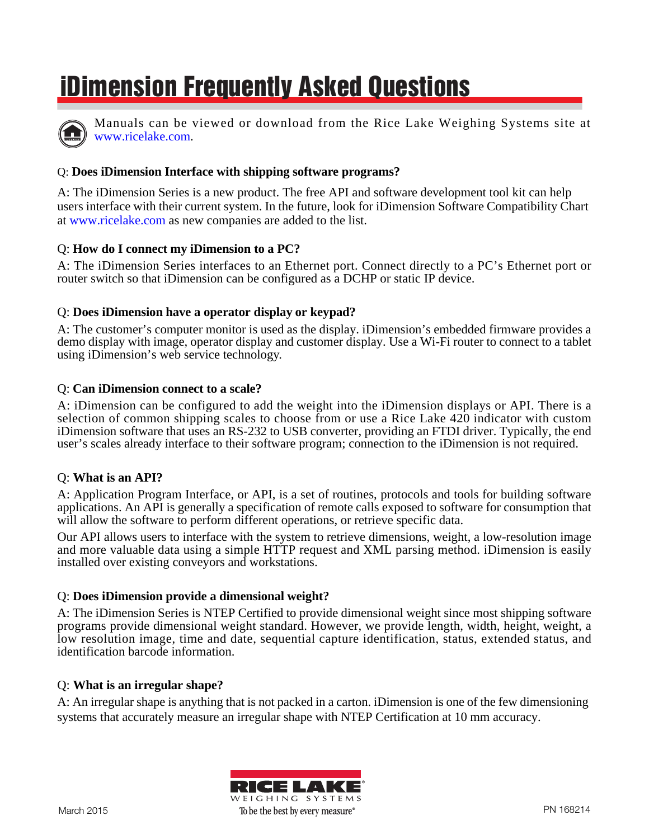# **iDimension Frequently Asked Questions**



Manuals can be viewed or download from the Rice Lake Weighing Systems site at [www.ricelake.com.](www.ricelake.com)

# Q: **Does iDimension Interface with shipping software programs?**

A: The iDimension Series is a new product. The free API and software development tool kit can help users interface with their current system. In the future, look for iDimension Software Compatibility Chart at <www.ricelake.com>as new companies are added to the list.

# Q: **How do I connect my iDimension to a PC?**

A: The iDimension Series interfaces to an Ethernet port. Connect directly to a PC's Ethernet port or router switch so that iDimension can be configured as a DCHP or static IP device.

## Q: **Does iDimension have a operator display or keypad?**

A: The customer's computer monitor is used as the display. iDimension's embedded firmware provides a demo display with image, operator display and customer display. Use a Wi-Fi router to connect to a tablet using iDimension's web service technology.

#### Q: **Can iDimension connect to a scale?**

A: iDimension can be configured to add the weight into the iDimension displays or API. There is a selection of common shipping scales to choose from or use a Rice Lake 420 indicator with custom iDimension software that uses an RS-232 to USB converter, providing an FTDI driver. Typically, the end user's scales already interface to their software program; connection to the iDimension is not required.

#### Q: **What is an API?**

A: Application Program Interface, or API, is a set of routines, protocols and tools for building software applications. An API is generally a specification of remote calls exposed to software for consumption that will allow the software to perform different operations, or retrieve specific data.

Our API allows users to interface with the system to retrieve dimensions, weight, a low-resolution image and more valuable data using a simple HTTP request and XML parsing method. iDimension is easily installed over existing conveyors and workstations.

## Q: **Does iDimension provide a dimensional weight?**

A: The iDimension Series is NTEP Certified to provide dimensional weight since most shipping software programs provide dimensional weight standard. However, we provide length, width, height, weight, a low resolution image, time and date, sequential capture identification, status, extended status, and identification barcode information.

#### Q: **What is an irregular shape?**

A: An irregular shape is anything that is not packed in a carton. iDimension is one of the few dimensioning systems that accurately measure an irregular shape with NTEP Certification at 10 mm accuracy.